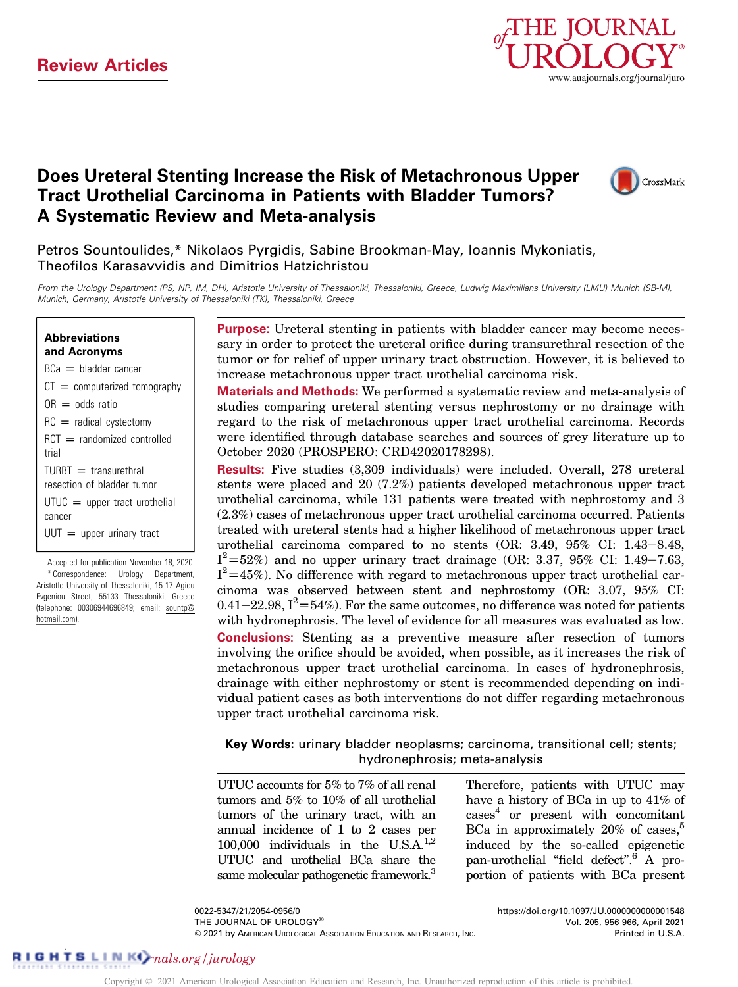

## Does Ureteral Stenting Increase the Risk of Metachronous Upper Tract Urothelial Carcinoma in Patients with Bladder Tumors? A Systematic Review and Meta-analysis



Petros Sountoulides,\* Nikolaos Pyrgidis, Sabine Brookman-May, Ioannis Mykoniatis, Theofilos Karasavvidis and Dimitrios Hatzichristou

From the Urology Department (PS, NP, IM, DH), Aristotle University of Thessaloniki, Thessaloniki, Greece, Ludwig Maximilians University (LMU) Munich (SB-M), Munich, Germany, Aristotle University of Thessaloniki (TK), Thessaloniki, Greece

## Abbreviations and Acronyms

 $BCa = b$ ladder cancer  $CT =$  computerized tomography  $OR = odds ratio$  $RC =$  radical cystectomy  $RCT =$  randomized controlled trial  $TURBT =$  transurethral resection of bladder tumor  $U T U C = upper tract urothelial$ cancer  $UUT = upper$  upper urinary tract

Accepted for publication November 18, 2020. \* Correspondence: Urology Department, Aristotle University of Thessaloniki, 15-17 Agiou Evgeniou Street, 55133 Thessaloniki, Greece (telephone: 00306944696849; email: [sountp@](mailto:sountp@hotmail.com) [hotmail.com\)](mailto:sountp@hotmail.com).

Purpose: Ureteral stenting in patients with bladder cancer may become necessary in order to protect the ureteral orifice during transurethral resection of the tumor or for relief of upper urinary tract obstruction. However, it is believed to increase metachronous upper tract urothelial carcinoma risk.

Materials and Methods: We performed a systematic review and meta-analysis of studies comparing ureteral stenting versus nephrostomy or no drainage with regard to the risk of metachronous upper tract urothelial carcinoma. Records were identified through database searches and sources of grey literature up to October 2020 (PROSPERO: CRD42020178298).

Results: Five studies (3,309 individuals) were included. Overall, 278 ureteral stents were placed and 20 (7.2%) patients developed metachronous upper tract urothelial carcinoma, while 131 patients were treated with nephrostomy and 3 (2.3%) cases of metachronous upper tract urothelial carcinoma occurred. Patients treated with ureteral stents had a higher likelihood of metachronous upper tract urothelial carcinoma compared to no stents  $(OR: 3.49, 95\% \text{ CI: } 1.43-8.48,$  $I^2 = 52\%$ ) and no upper urinary tract drainage (OR: 3.37, 95% CI: 1.49–7.63,  $I^2$ =45%). No difference with regard to metachronous upper tract urothelial carcinoma was observed between stent and nephrostomy (OR: 3.07, 95% CI: 0.41-22.98,  $I^2 = 54\%$ ). For the same outcomes, no difference was noted for patients with hydronephrosis. The level of evidence for all measures was evaluated as low. Conclusions: Stenting as a preventive measure after resection of tumors involving the orifice should be avoided, when possible, as it increases the risk of metachronous upper tract urothelial carcinoma. In cases of hydronephrosis, drainage with either nephrostomy or stent is recommended depending on individual patient cases as both interventions do not differ regarding metachronous upper tract urothelial carcinoma risk.

Key Words: urinary bladder neoplasms; carcinoma, transitional cell; stents; hydronephrosis; meta-analysis

UTUC accounts for 5% to 7% of all renal tumors and 5% to 10% of all urothelial tumors of the urinary tract, with an annual incidence of 1 to 2 cases per 100,000 individuals in the U.S.A.<sup>1,2</sup> UTUC and urothelial BCa share the same molecular pathogenetic framework.<sup>3</sup> Therefore, patients with UTUC may have a history of BCa in up to 41% of  $\csc^4$  $\csc^4$  or present with concomitant BCa in approximately  $20\%$  of cases,<sup>[5](#page-8-0)</sup> induced by the so-called epigenetic pan-urothelial "field defect"[.6](#page-8-0) A proportion of patients with BCa present

0022-5347/21/2054-0956/0 THE JOURNAL OF UROLOGY® 2021 by AMERICAN UROLOGICAL ASSOCIATION EDUCATION AND RESEARCH, INC. <https://doi.org/10.1097/JU.0000000000001548> Vol. 205, 956-966, April 2021 Printed in U.S.A.

# RIGHTS LINK  $\sum_{nals.org/jurology}$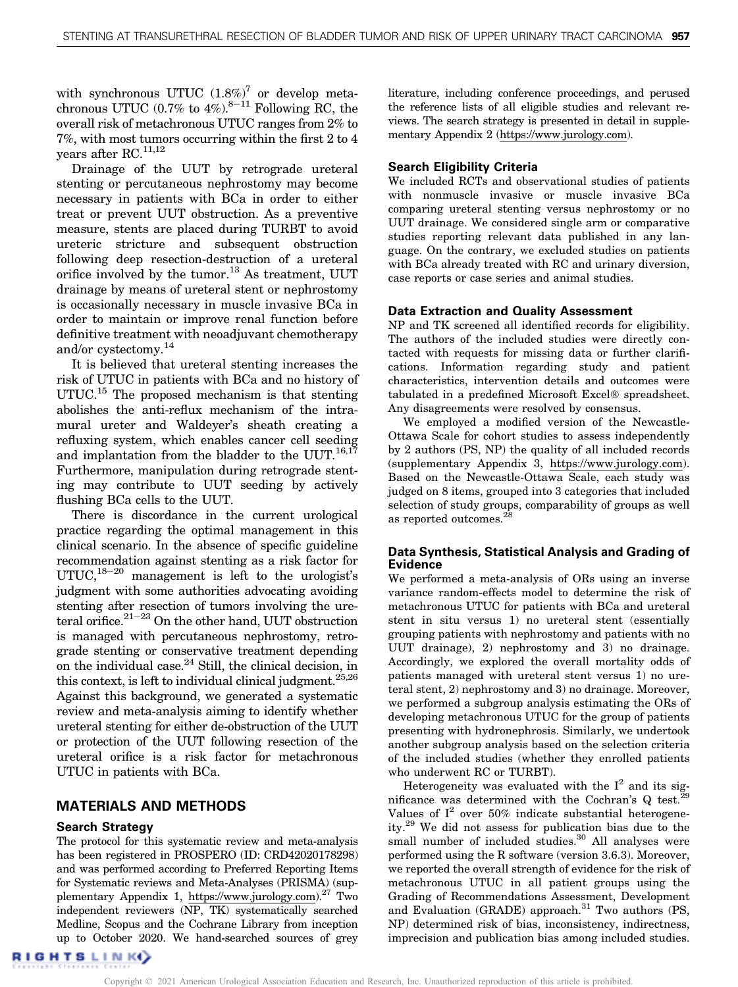with synchronous UTUC  $(1.8\%)^7$  $(1.8\%)^7$  or develop metachronous UTUC  $(0.7\%$  to  $4\%)$ .<sup>8–11</sup> Following RC, the overall risk of metachronous UTUC ranges from 2% to 7%, with most tumors occurring within the first 2 to 4 years after RC.<sup>11,12</sup>

Drainage of the UUT by retrograde ureteral stenting or percutaneous nephrostomy may become necessary in patients with BCa in order to either treat or prevent UUT obstruction. As a preventive measure, stents are placed during TURBT to avoid ureteric stricture and subsequent obstruction following deep resection-destruction of a ureteral orifice involved by the tumor. $^{13}$  $^{13}$  $^{13}$  As treatment, UUT drainage by means of ureteral stent or nephrostomy is occasionally necessary in muscle invasive BCa in order to maintain or improve renal function before definitive treatment with neoadjuvant chemotherapy and/or cystectomy.[14](#page-8-0)

It is believed that ureteral stenting increases the risk of UTUC in patients with BCa and no history of UTUC.<sup>15</sup> The proposed mechanism is that stenting abolishes the anti-reflux mechanism of the intramural ureter and Waldeyer's sheath creating a refluxing system, which enables cancer cell seeding and implantation from the bladder to the UUT. $^{16,17}$ Furthermore, manipulation during retrograde stenting may contribute to UUT seeding by actively flushing BCa cells to the UUT.

There is discordance in the current urological practice regarding the optimal management in this clinical scenario. In the absence of specific guideline recommendation against stenting as a risk factor for UTUC, $18-20$  management is left to the urologist's judgment with some authorities advocating avoiding stenting after resection of tumors involving the ureteral orifice. $21-23$  On the other hand, UUT obstruction is managed with percutaneous nephrostomy, retrograde stenting or conservative treatment depending on the individual case. $24$  Still, the clinical decision, in this context, is left to individual clinical judgment.<sup>25,26</sup> Against this background, we generated a systematic review and meta-analysis aiming to identify whether ureteral stenting for either de-obstruction of the UUT or protection of the UUT following resection of the ureteral orifice is a risk factor for metachronous UTUC in patients with BCa.

#### MATERIALS AND METHODS

#### Search Strategy

The protocol for this systematic review and meta-analysis has been registered in PROSPERO (ID: CRD42020178298) and was performed according to Preferred Reporting Items for Systematic reviews and Meta-Analyses (PRISMA) (supplementary Appendix 1, [https://www.jurology.com](https://www.auajournals.org/doi/suppl/10.1097/JU.0000000000001548)).<sup>27</sup> Two independent reviewers (NP, TK) systematically searched Medline, Scopus and the Cochrane Library from inception up to October 2020. We hand-searched sources of grey literature, including conference proceedings, and perused the reference lists of all eligible studies and relevant reviews. The search strategy is presented in detail in supplementary Appendix 2 [\(https://www.jurology.com\)](https://www.auajournals.org/doi/suppl/10.1097/JU.0000000000001548).

#### Search Eligibility Criteria

We included RCTs and observational studies of patients with nonmuscle invasive or muscle invasive BCa comparing ureteral stenting versus nephrostomy or no UUT drainage. We considered single arm or comparative studies reporting relevant data published in any language. On the contrary, we excluded studies on patients with BCa already treated with RC and urinary diversion, case reports or case series and animal studies.

#### Data Extraction and Quality Assessment

NP and TK screened all identified records for eligibility. The authors of the included studies were directly contacted with requests for missing data or further clarifications. Information regarding study and patient characteristics, intervention details and outcomes were tabulated in a predefined Microsoft Excel<sup>®</sup> spreadsheet. Any disagreements were resolved by consensus.

We employed a modified version of the Newcastle-Ottawa Scale for cohort studies to assess independently by 2 authors (PS, NP) the quality of all included records (supplementary Appendix 3, [https://www.jurology.com](https://www.auajournals.org/doi/suppl/10.1097/JU.0000000000001548)). Based on the Newcastle-Ottawa Scale, each study was judged on 8 items, grouped into 3 categories that included selection of study groups, comparability of groups as well as reported outcomes.<sup>[28](#page-9-0)</sup>

#### Data Synthesis, Statistical Analysis and Grading of Evidence

We performed a meta-analysis of ORs using an inverse variance random-effects model to determine the risk of metachronous UTUC for patients with BCa and ureteral stent in situ versus 1) no ureteral stent (essentially grouping patients with nephrostomy and patients with no UUT drainage), 2) nephrostomy and 3) no drainage. Accordingly, we explored the overall mortality odds of patients managed with ureteral stent versus 1) no ureteral stent, 2) nephrostomy and 3) no drainage. Moreover, we performed a subgroup analysis estimating the ORs of developing metachronous UTUC for the group of patients presenting with hydronephrosis. Similarly, we undertook another subgroup analysis based on the selection criteria of the included studies (whether they enrolled patients who underwent RC or TURBT).

Heterogeneity was evaluated with the  $I^2$  and its significance was determined with the Cochran's  $Q$  test.<sup>[29](#page-9-0)</sup> Values of  $I^2$  over 50% indicate substantial heterogeneity.[29](#page-9-0) We did not assess for publication bias due to the small number of included studies.<sup>30</sup> All analyses were performed using the R software (version 3.6.3). Moreover, we reported the overall strength of evidence for the risk of metachronous UTUC in all patient groups using the Grading of Recommendations Assessment, Development and Evaluation (GRADE) approach.<sup>[31](#page-9-0)</sup> Two authors (PS, NP) determined risk of bias, inconsistency, indirectness, imprecision and publication bias among included studies.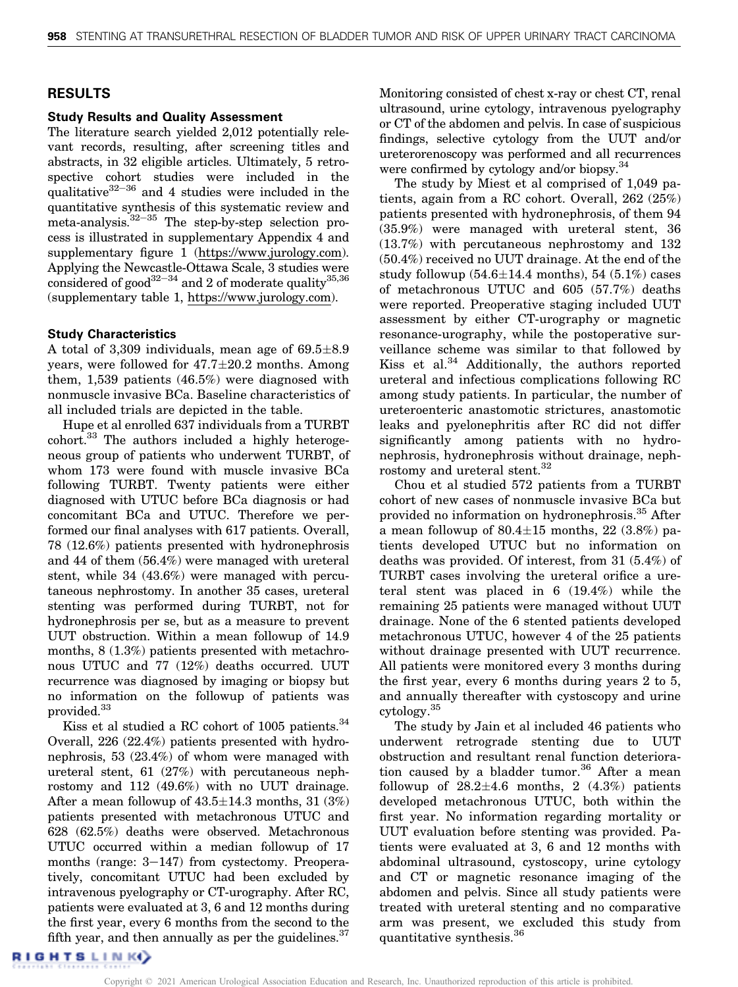## RESULTS

## Study Results and Quality Assessment

The literature search yielded 2,012 potentially relevant records, resulting, after screening titles and abstracts, in 32 eligible articles. Ultimately, 5 retrospective cohort studies were included in the qualitative $32-36$  and 4 studies were included in the quantitative synthesis of this systematic review and meta-analysis. $32-35$  The step-by-step selection process is illustrated in supplementary Appendix 4 and supplementary figure 1 [\(https://www.jurology.com\)](https://www.auajournals.org/doi/suppl/10.1097/JU.0000000000001548). Applying the Newcastle-Ottawa Scale, 3 studies were considered of good<sup>32-34</sup> and 2 of moderate quality<sup>35,36</sup> (supplementary table 1, [https://www.jurology.com](https://www.auajournals.org/doi/suppl/10.1097/JU.0000000000001548)).

## Study Characteristics

A total of  $3,309$  individuals, mean age of  $69.5 \pm 8.9$ years, were followed for  $47.7 \pm 20.2$  months. Among them, 1,539 patients (46.5%) were diagnosed with nonmuscle invasive BCa. Baseline characteristics of all included trials are depicted in the [table.](#page-3-0)

Hupe et al enrolled 637 individuals from a TURBT  $\alpha$ cohort.<sup>33</sup> The authors included a highly heterogeneous group of patients who underwent TURBT, of whom 173 were found with muscle invasive BCa following TURBT. Twenty patients were either diagnosed with UTUC before BCa diagnosis or had concomitant BCa and UTUC. Therefore we performed our final analyses with 617 patients. Overall, 78 (12.6%) patients presented with hydronephrosis and 44 of them (56.4%) were managed with ureteral stent, while 34 (43.6%) were managed with percutaneous nephrostomy. In another 35 cases, ureteral stenting was performed during TURBT, not for hydronephrosis per se, but as a measure to prevent UUT obstruction. Within a mean followup of 14.9 months, 8 (1.3%) patients presented with metachronous UTUC and 77 (12%) deaths occurred. UUT recurrence was diagnosed by imaging or biopsy but no information on the followup of patients was provided.[33](#page-9-0)

Kiss et al studied a RC cohort of 1005 patients.<sup>[34](#page-9-0)</sup> Overall, 226 (22.4%) patients presented with hydronephrosis, 53 (23.4%) of whom were managed with ureteral stent, 61 (27%) with percutaneous nephrostomy and 112 (49.6%) with no UUT drainage. After a mean followup of  $43.5 \pm 14.3$  months,  $31$   $(3%)$ patients presented with metachronous UTUC and 628 (62.5%) deaths were observed. Metachronous UTUC occurred within a median followup of 17 months (range:  $3-147$ ) from cystectomy. Preoperatively, concomitant UTUC had been excluded by intravenous pyelography or CT-urography. After RC, patients were evaluated at 3, 6 and 12 months during the first year, every 6 months from the second to the fifth year, and then annually as per the guidelines. $37$ 

Monitoring consisted of chest x-ray or chest CT, renal ultrasound, urine cytology, intravenous pyelography or CT of the abdomen and pelvis. In case of suspicious findings, selective cytology from the UUT and/or ureterorenoscopy was performed and all recurrences were confirmed by cytology and/or biopsy.<sup>[34](#page-9-0)</sup>

The study by Miest et al comprised of 1,049 patients, again from a RC cohort. Overall, 262 (25%) patients presented with hydronephrosis, of them 94 (35.9%) were managed with ureteral stent, 36 (13.7%) with percutaneous nephrostomy and 132 (50.4%) received no UUT drainage. At the end of the study followup  $(54.6 \pm 14.4 \text{ months})$ ,  $54$   $(5.1\%)$  cases of metachronous UTUC and 605 (57.7%) deaths were reported. Preoperative staging included UUT assessment by either CT-urography or magnetic resonance-urography, while the postoperative surveillance scheme was similar to that followed by Kiss et al. $34$  Additionally, the authors reported ureteral and infectious complications following RC among study patients. In particular, the number of ureteroenteric anastomotic strictures, anastomotic leaks and pyelonephritis after RC did not differ significantly among patients with no hydronephrosis, hydronephrosis without drainage, neph-rostomy and ureteral stent.<sup>[32](#page-9-0)</sup>

Chou et al studied 572 patients from a TURBT cohort of new cases of nonmuscle invasive BCa but provided no information on hydronephrosis.[35](#page-9-0) After a mean followup of  $80.4 \pm 15$  months,  $22$   $(3.8\%)$  patients developed UTUC but no information on deaths was provided. Of interest, from 31 (5.4%) of TURBT cases involving the ureteral orifice a ureteral stent was placed in 6 (19.4%) while the remaining 25 patients were managed without UUT drainage. None of the 6 stented patients developed metachronous UTUC, however 4 of the 25 patients without drainage presented with UUT recurrence. All patients were monitored every 3 months during the first year, every 6 months during years 2 to 5, and annually thereafter with cystoscopy and urine cytology[.35](#page-9-0)

The study by Jain et al included 46 patients who underwent retrograde stenting due to UUT obstruction and resultant renal function deteriora-tion caused by a bladder tumor.<sup>[36](#page-9-0)</sup> After a mean followup of  $28.2 \pm 4.6$  months,  $2 \quad (4.3\%)$  patients developed metachronous UTUC, both within the first year. No information regarding mortality or UUT evaluation before stenting was provided. Patients were evaluated at 3, 6 and 12 months with abdominal ultrasound, cystoscopy, urine cytology and CT or magnetic resonance imaging of the abdomen and pelvis. Since all study patients were treated with ureteral stenting and no comparative arm was present, we excluded this study from quantitative synthesis.[36](#page-9-0)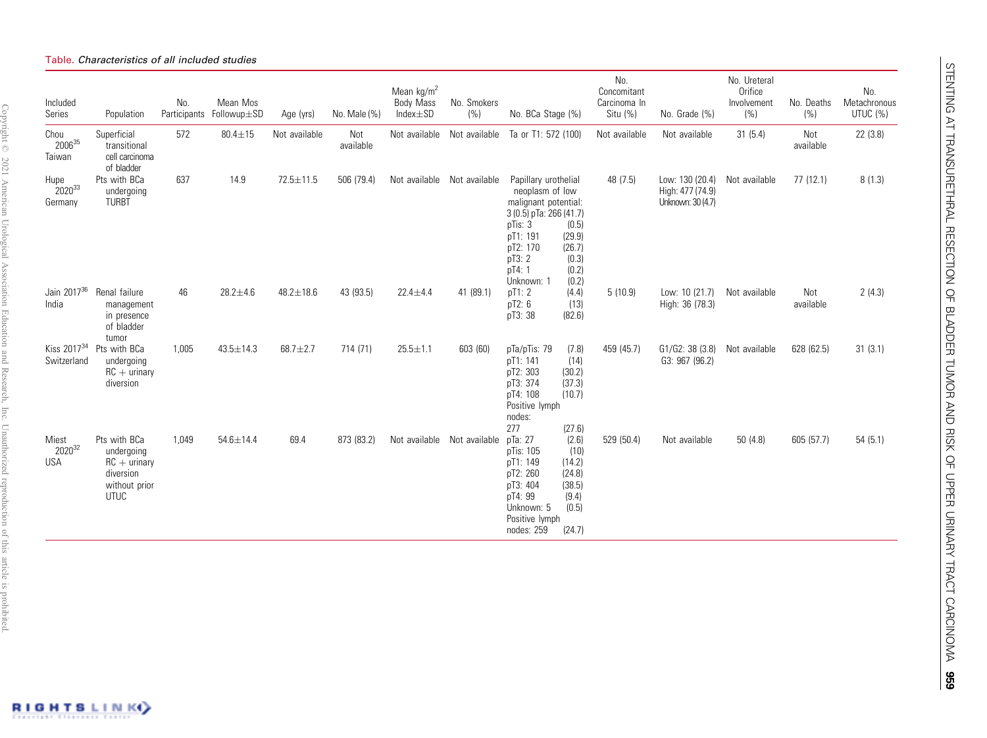#### <span id="page-3-0"></span>Table. Characteristics of all included studies

| Included<br>Series                     | Population                                                                                | No.   | Mean Mos<br>Participants Followup±SD | Age (yrs)       | No. Male (%)     | Mean $\text{kg/m}^2$<br><b>Body Mass</b><br>$Index \pm SD$ | No. Smokers<br>(% ) | No. BCa Stage (%)                                                                                                                                                                                                       | No.<br>Concomitant<br>Carcinoma In<br>Situ (%) | No. Grade (%)                                            | No. Ureteral<br>Orifice<br>Involvement<br>(% ) | No. Deaths<br>(%) | No.<br>Metachronous<br>UTUC (%) |
|----------------------------------------|-------------------------------------------------------------------------------------------|-------|--------------------------------------|-----------------|------------------|------------------------------------------------------------|---------------------|-------------------------------------------------------------------------------------------------------------------------------------------------------------------------------------------------------------------------|------------------------------------------------|----------------------------------------------------------|------------------------------------------------|-------------------|---------------------------------|
| Chou<br>200635<br>Taiwan               | Superficial<br>transitional<br>cell carcinoma<br>of bladder                               | 572   | $80.4 \pm 15$                        | Not available   | Not<br>available | Not available                                              | Not available       | Ta or T1: 572 (100)                                                                                                                                                                                                     | Not available                                  | Not available                                            | 31(5.4)                                        | Not<br>available  | 22 (3.8)                        |
| Hupe<br>202033<br>Germany              | Pts with BCa<br>undergoing<br><b>TURBT</b>                                                | 637   | 14.9                                 | $72.5 \pm 11.5$ | 506 (79.4)       | Not available                                              | Not available       | Papillary urothelial<br>neoplasm of low<br>malignant potential:<br>3 (0.5) pTa: 266 (41.7)<br>pTis: 3<br>(0.5)<br>pT1: 191<br>(29.9)<br>pT2: 170<br>(26.7)<br>pT3: 2<br>(0.3)<br>pT4: 1<br>(0.2)<br>Unknown: 1<br>(0.2) | 48 (7.5)                                       | Low: 130 (20.4)<br>High: 477 (74.9)<br>Unknown: 30 (4.7) | Not available                                  | 77(12.1)          | 8(1.3)                          |
| Jain 2017 <sup>36</sup><br>India       | Renal failure<br>management<br>in presence<br>of bladder<br>tumor                         | 46    | $28.2 + 4.6$                         | $48.2 \pm 18.6$ | 43 (93.5)        | $22.4 \pm 4.4$                                             | 41 (89.1)           | pT1: 2<br>(4.4)<br>pT2: 6<br>(13)<br>pT3: 38<br>(82.6)                                                                                                                                                                  | 5(10.9)                                        | Low: 10 (21.7)<br>High: 36 (78.3)                        | Not available                                  | Not<br>available  | 2(4.3)                          |
| Kiss 2017 <sup>34</sup><br>Switzerland | Pts with BCa<br>undergoing<br>$RC +$ urinary<br>diversion                                 | 1,005 | $43.5 \pm 14.3$                      | $68.7 + 2.7$    | 714 (71)         | $25.5 \pm 1.1$                                             | 603 (60)            | pTa/pTis: 79<br>(7.8)<br>pT1: 141<br>(14)<br>pT2: 303<br>(30.2)<br>pT3: 374<br>(37.3)<br>pT4: 108<br>(10.7)<br>Positive lymph<br>nodes:                                                                                 | 459 (45.7)                                     | G1/G2: 38 (3.8)<br>G3: 967 (96.2)                        | Not available                                  | 628 (62.5)        | 31(3.1)                         |
| Miest<br>202032<br><b>USA</b>          | Pts with BCa<br>undergoing<br>$RC +$ urinary<br>diversion<br>without prior<br><b>UTUC</b> | 1,049 | $54.6 \pm 14.4$                      | 69.4            | 873 (83.2)       | Not available                                              | Not available       | 277<br>(27.6)<br>pTa: 27<br>(2.6)<br>pTis: 105<br>(10)<br>pT1: 149<br>(14.2)<br>pT2: 260<br>(24.8)<br>pT3: 404<br>(38.5)<br>pT4: 99<br>(9.4)<br>(0.5)<br>Unknown: 5<br>Positive lymph<br>nodes: 259<br>(24.7)           | 529 (50.4)                                     | Not available                                            | 50(4.8)                                        | 605 (57.7)        | 54(5.1)                         |



Copyright © 1217 Yuniversity On the Stockholm and States and States and The Changer States and States and The States in States and The Copyright © 1217 Yuniversity Decision Copyright © 2021 American Urological Association Education and Research, Inc. Unauthorized reproduction of this article is prohibited.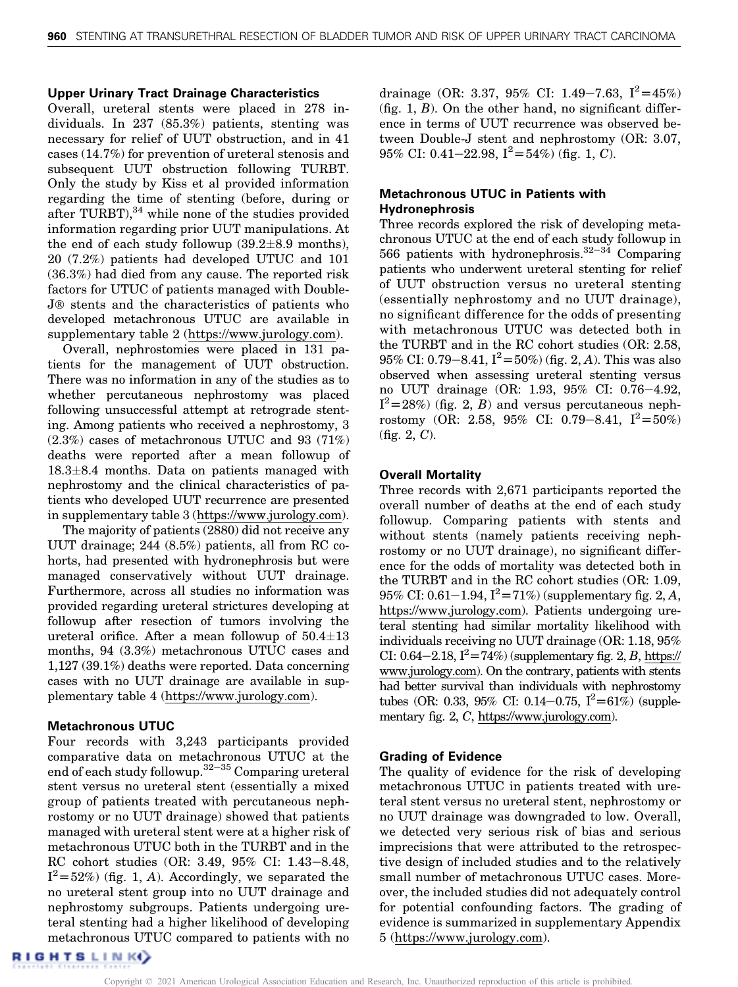#### Upper Urinary Tract Drainage Characteristics

Overall, ureteral stents were placed in 278 individuals. In 237 (85.3%) patients, stenting was necessary for relief of UUT obstruction, and in 41 cases (14.7%) for prevention of ureteral stenosis and subsequent UUT obstruction following TURBT. Only the study by Kiss et al provided information regarding the time of stenting (before, during or after TURBT), $34$  while none of the studies provided information regarding prior UUT manipulations. At the end of each study followup  $(39.2 \pm 8.9 \text{ months})$ , 20 (7.2%) patients had developed UTUC and 101 (36.3%) had died from any cause. The reported risk factors for UTUC of patients managed with Double-J® stents and the characteristics of patients who developed metachronous UTUC are available in supplementary table 2 [\(https://www.jurology.com](https://www.auajournals.org/doi/suppl/10.1097/JU.0000000000001548)).

Overall, nephrostomies were placed in 131 patients for the management of UUT obstruction. There was no information in any of the studies as to whether percutaneous nephrostomy was placed following unsuccessful attempt at retrograde stenting. Among patients who received a nephrostomy, 3 (2.3%) cases of metachronous UTUC and 93 (71%) deaths were reported after a mean followup of 18.3-8.4 months. Data on patients managed with nephrostomy and the clinical characteristics of patients who developed UUT recurrence are presented in supplementary table 3 [\(https://www.jurology.com\)](https://www.auajournals.org/doi/suppl/10.1097/JU.0000000000001548).

The majority of patients (2880) did not receive any UUT drainage; 244 (8.5%) patients, all from RC cohorts, had presented with hydronephrosis but were managed conservatively without UUT drainage. Furthermore, across all studies no information was provided regarding ureteral strictures developing at followup after resection of tumors involving the ureteral orifice. After a mean followup of  $50.4 \pm 13$ months, 94 (3.3%) metachronous UTUC cases and 1,127 (39.1%) deaths were reported. Data concerning cases with no UUT drainage are available in supplementary table 4 [\(https://www.jurology.com\)](https://www.auajournals.org/doi/suppl/10.1097/JU.0000000000001548).

#### Metachronous UTUC

Four records with 3,243 participants provided comparative data on metachronous UTUC at the end of each study followup. $32-35$  Comparing ureteral stent versus no ureteral stent (essentially a mixed group of patients treated with percutaneous nephrostomy or no UUT drainage) showed that patients managed with ureteral stent were at a higher risk of metachronous UTUC both in the TURBT and in the RC cohort studies (OR: 3.49, 95% CI: 1.43-8.48,  $I^2 = 52\%$  [\(fig. 1,](#page-5-0) A). Accordingly, we separated the no ureteral stept group into no UUT drainage and no ureteral stent group into no UUT drainage and nephrostomy subgroups. Patients undergoing ureteral stenting had a higher likelihood of developing metachronous UTUC compared to patients with no

drainage (OR: 3.37, 95% CI: 1.49-7.63,  $I^2 = 45\%$ ) (fig.  $1, B$ ). On the other hand, no significant difference in terms of UUT recurrence was observed between Double-J stent and nephrostomy (OR: 3.07, 95% CI: 0.41–22.98,  $I^2 = 54\%$  [\(fig. 1,](#page-5-0) C).

## Metachronous UTUC in Patients with Hydronephrosis

Three records explored the risk of developing metachronous UTUC at the end of each study followup in 566 patients with hydronephrosis. $32-34$  Comparing patients who underwent ureteral stenting for relief of UUT obstruction versus no ureteral stenting (essentially nephrostomy and no UUT drainage), no significant difference for the odds of presenting with metachronous UTUC was detected both in the TURBT and in the RC cohort studies (OR: 2.58, 95% CI: 0.79–8.41,  $I^2 = 50\%$  ([fig. 2,](#page-6-0) A). This was also<br>observed when assessing ureteral stanting versus observed when assessing ureteral stenting versus no UUT drainage (OR: 1.93, 95% CI: 0.76-4.92,  $I^2 = 28\%$  [\(fig. 2,](#page-6-0) B) and versus percutaneous neph-<br>rostomy (OR: 2.58, 95% CI: 0.79–8.41,  $I^2 = 50\%$ ) rostomy (OR: 2.58, 95% CI: 0.79–8.41,  $I^2 = 50\%$ ) [\(fig. 2,](#page-6-0) C).

#### Overall Mortality

Three records with 2,671 participants reported the overall number of deaths at the end of each study followup. Comparing patients with stents and without stents (namely patients receiving nephrostomy or no UUT drainage), no significant difference for the odds of mortality was detected both in the TURBT and in the RC cohort studies (OR: 1.09,  $95\%$  CI:  $0.61-1.94$ ,  $I^2=71\%$  (supplementary fig. 2, A, https://www.jurology.com). Patients undergoing ure[https://www.jurology.com](https://www.auajournals.org/doi/suppl/10.1097/JU.0000000000001548)). Patients undergoing ureteral stenting had similar mortality likelihood with individuals receiving no UUT drainage (OR: 1.18, 95% CI:  $0.64-2.18$ ,  $I^2 = 74\%$  (supplementary fig. 2, B, [https://](https://www.auajournals.org/doi/suppl/10.1097/JU.0000000000001548)<br>www.jurology.com) On the contrary, patients with stants [www.jurology.com\)](https://www.auajournals.org/doi/suppl/10.1097/JU.0000000000001548). On the contrary, patients with stents had better survival than individuals with nephrostomy tubes (OR: 0.33, 95% CI: 0.14–0.75,  $I^2 = 61\%$ ) (supplementary fig. 2, <sup>C</sup>, [https://www.jurology.com](https://www.auajournals.org/doi/suppl/10.1097/JU.0000000000001548)).

#### Grading of Evidence

The quality of evidence for the risk of developing metachronous UTUC in patients treated with ureteral stent versus no ureteral stent, nephrostomy or no UUT drainage was downgraded to low. Overall, we detected very serious risk of bias and serious imprecisions that were attributed to the retrospective design of included studies and to the relatively small number of metachronous UTUC cases. Moreover, the included studies did not adequately control for potential confounding factors. The grading of evidence is summarized in supplementary Appendix 5 ([https://www.jurology.com](https://www.auajournals.org/doi/suppl/10.1097/JU.0000000000001548)).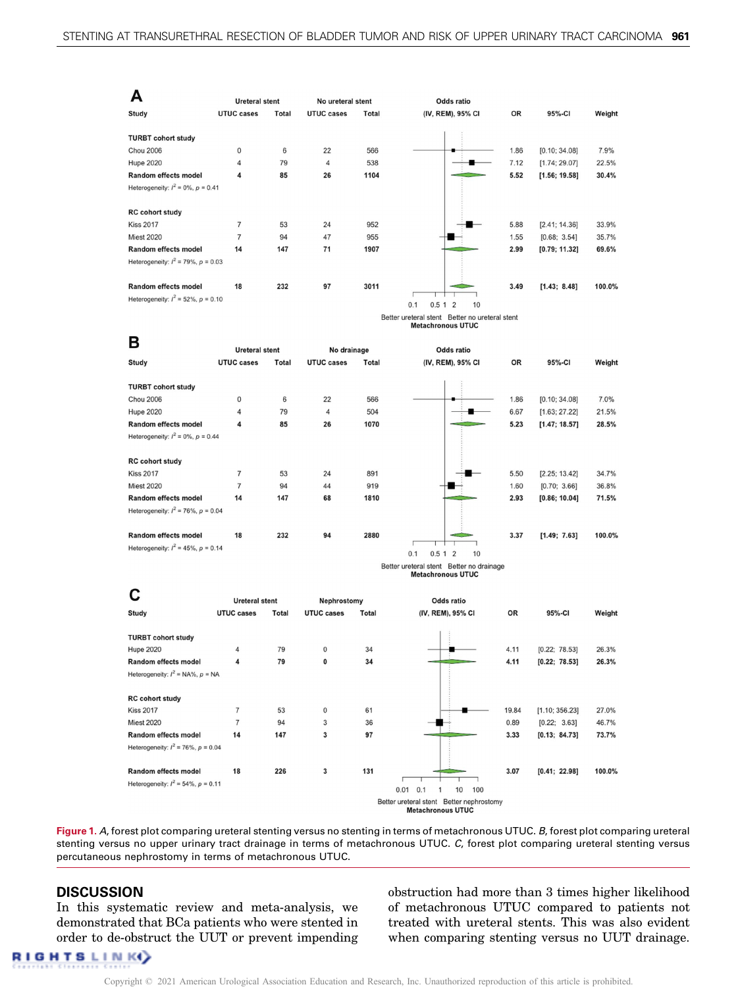<span id="page-5-0"></span>

| А                                                                       | <b>Ureteral stent</b> |               | No ureteral stent |                    | Odds ratio           |              |                                |               |
|-------------------------------------------------------------------------|-----------------------|---------------|-------------------|--------------------|----------------------|--------------|--------------------------------|---------------|
| Study                                                                   | <b>UTUC cases</b>     | Total         | UTUC cases        | Total              | (IV, REM), 95% CI    | OR           | 95%-CI                         | Weight        |
| <b>TURBT cohort study</b><br><b>Chou 2006</b><br><b>Hupe 2020</b>       | 0<br>$\overline{4}$   | 6<br>79<br>85 | 22<br>4<br>26     | 566<br>538<br>1104 |                      | 1.86<br>7.12 | [0.10; 34.08]<br>[1.74; 29.07] | 7.9%<br>22.5% |
| Random effects model<br>Heterogeneity: $l^2 = 0\%$ , $p = 0.41$         | 4                     |               |                   |                    |                      | 5.52         | [1.56; 19.58]                  | 30.4%         |
|                                                                         |                       |               |                   |                    |                      |              |                                |               |
| <b>RC</b> cohort study                                                  |                       |               |                   |                    |                      |              |                                |               |
| <b>Kiss 2017</b>                                                        | $\overline{7}$        | 53            | 24                | 952                |                      | 5.88         | [2.41; 14.36]                  | 33.9%         |
| <b>Miest 2020</b>                                                       | $\overline{7}$        | 94            | 47                | 955                |                      | 1.55         | [0.68; 3.54]                   | 35.7%         |
| Random effects model                                                    | 14                    | 147           | 71                | 1907               |                      | 2.99         | [0.79; 11.32]                  | 69.6%         |
| Heterogeneity: $I^2 = 79\%$ , $p = 0.03$                                |                       |               |                   |                    |                      |              |                                |               |
| <b>Random effects model</b><br>Heterogeneity: $I^2 = 52\%$ , $p = 0.10$ | 18                    | 232           | 97                | 3011               | 0.5 1 2<br>10<br>0.1 | 3.49         | [1.43; 8.48]                   | 100.0%        |

Better ureteral stent Better no ureteral stent **Metachronous UTUC** 

| в                                        |                       |              |                   |       |                                    |           |               |        |
|------------------------------------------|-----------------------|--------------|-------------------|-------|------------------------------------|-----------|---------------|--------|
|                                          | <b>Ureteral stent</b> |              | No drainage       |       | Odds ratio                         |           |               |        |
| Study                                    | <b>UTUC cases</b>     | <b>Total</b> | <b>UTUC cases</b> | Total | (IV, REM), 95% CI                  | <b>OR</b> | 95%-CI        | Weight |
|                                          |                       |              |                   |       |                                    |           |               |        |
| <b>TURBT cohort study</b>                |                       |              |                   |       |                                    |           |               |        |
| <b>Chou 2006</b>                         | 0                     | 6            | 22                | 566   |                                    | 1.86      | [0.10; 34.08] | 7.0%   |
| <b>Hupe 2020</b>                         | 4                     | 79           | 4                 | 504   |                                    | 6.67      | [1.63; 27.22] | 21.5%  |
| <b>Random effects model</b>              | 4                     | 85           | 26                | 1070  |                                    | 5.23      | [1.47; 18.57] | 28.5%  |
| Heterogeneity: $I^2 = 0\%$ , $p = 0.44$  |                       |              |                   |       |                                    |           |               |        |
|                                          |                       |              |                   |       |                                    |           |               |        |
| <b>RC cohort study</b>                   |                       |              |                   |       |                                    |           |               |        |
| <b>Kiss 2017</b>                         | $\overline{7}$        | 53           | 24                | 891   |                                    | 5.50      | [2.25; 13.42] | 34.7%  |
| <b>Miest 2020</b>                        | $\overline{7}$        | 94           | 44                | 919   |                                    | 1.60      | [0.70; 3.66]  | 36.8%  |
| Random effects model                     | 14                    | 147          | 68                | 1810  |                                    | 2.93      | [0.86; 10.04] | 71.5%  |
| Heterogeneity: $l^2 = 76\%$ , $p = 0.04$ |                       |              |                   |       |                                    |           |               |        |
|                                          |                       |              |                   |       |                                    |           |               |        |
| Random effects model                     | 18                    | 232          | 94                | 2880  |                                    | 3.37      | [1.49; 7.63]  | 100.0% |
| Heterogeneity: $l^2 = 45\%$ , $p = 0.14$ |                       |              |                   |       |                                    |           |               |        |
|                                          |                       |              |                   |       | 0.1<br>10<br>0.5<br>$\overline{2}$ |           |               |        |

Better ureteral stent Better no drainage **Metachronous UTUC** 

|                                          |              |                       |              | <b>Odds ratio</b> |                                                                               |                    |        |
|------------------------------------------|--------------|-----------------------|--------------|-------------------|-------------------------------------------------------------------------------|--------------------|--------|
| <b>UTUC cases</b>                        | <b>Total</b> | <b>UTUC cases</b>     | <b>Total</b> | (IV, REM), 95% CI | OR                                                                            | 95%-CI             | Weight |
|                                          |              |                       |              |                   |                                                                               |                    |        |
|                                          |              |                       |              |                   |                                                                               |                    |        |
| $\overline{4}$                           | 79           | 0                     | 34           |                   | 4.11                                                                          | [0.22; 78.53]      | 26.3%  |
| 4                                        | 79           | 0                     | 34           |                   | 4.11                                                                          | [0.22; 78.53]      | 26.3%  |
| Heterogeneity: $I^2$ = NA%, $p$ = NA     |              |                       |              |                   |                                                                               |                    |        |
|                                          |              |                       |              |                   |                                                                               |                    |        |
|                                          |              |                       |              |                   |                                                                               |                    |        |
| $\overline{7}$                           | 53           | $\mathbf 0$           | 61           |                   | 19.84                                                                         | [1.10; 356.23]     | 27.0%  |
| $\overline{7}$                           | 94           | 3                     | 36           |                   | 0.89                                                                          | [0.22; 3.63]       | 46.7%  |
| 14                                       | 147          | 3                     | 97           |                   | 3.33                                                                          | [0.13; 84.73]      | 73.7%  |
| Heterogeneity: $I^2 = 76\%$ , $p = 0.04$ |              |                       |              |                   |                                                                               |                    |        |
|                                          |              |                       |              |                   |                                                                               |                    |        |
| 18                                       | 226          | 3                     | 131          |                   | 3.07                                                                          | [0.41; 22.98]      | 100.0% |
| Heterogeneity: $I^2 = 54\%$ , $p = 0.11$ |              |                       |              |                   |                                                                               |                    |        |
|                                          |              |                       |              |                   |                                                                               |                    |        |
|                                          |              |                       |              |                   |                                                                               |                    |        |
|                                          |              | <b>Ureteral stent</b> |              | Nephrostomy       | 0.01<br>10<br>100<br>0.1<br>Better ureteral stent<br><b>Metachronous UTUC</b> | Better nephrostomy |        |

Figure 1. A, forest plot comparing ureteral stenting versus no stenting in terms of metachronous UTUC. B, forest plot comparing ureteral stenting versus no upper urinary tract drainage in terms of metachronous UTUC. C, forest plot comparing ureteral stenting versus percutaneous nephrostomy in terms of metachronous UTUC.

## **DISCUSSION**

In this systematic review and meta-analysis, we demonstrated that BCa patients who were stented in order to de-obstruct the UUT or prevent impending obstruction had more than 3 times higher likelihood of metachronous UTUC compared to patients not treated with ureteral stents. This was also evident when comparing stenting versus no UUT drainage.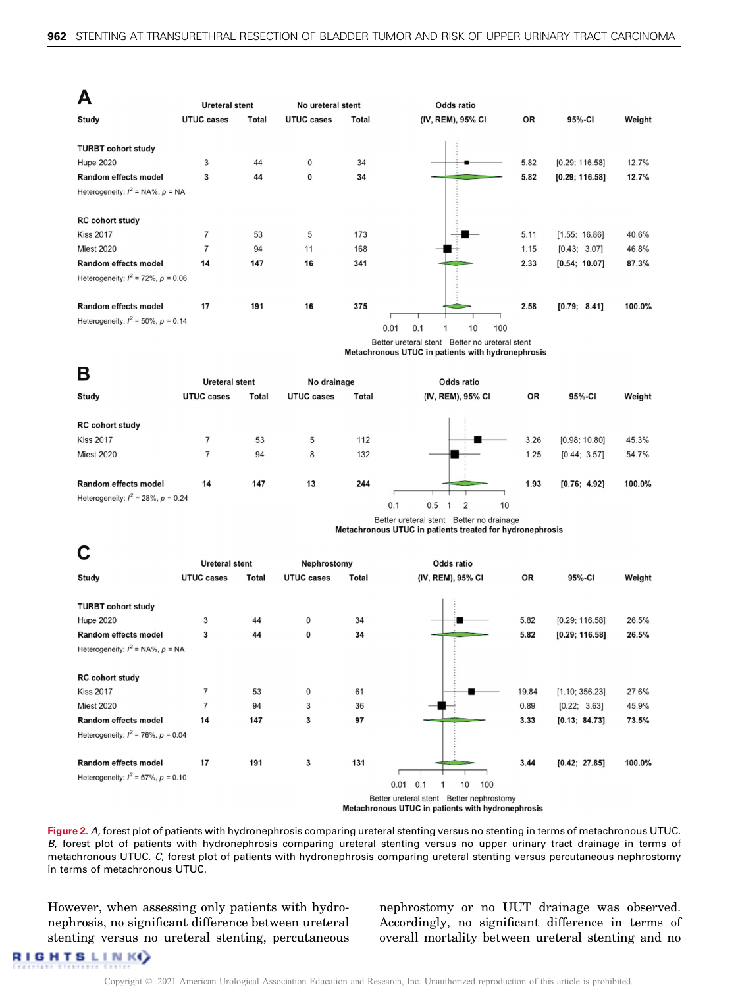<span id="page-6-0"></span>

| Д                                        |                                            |                                                                                                      |                   |       |                                                                                               |       |                |        |  |  |  |  |
|------------------------------------------|--------------------------------------------|------------------------------------------------------------------------------------------------------|-------------------|-------|-----------------------------------------------------------------------------------------------|-------|----------------|--------|--|--|--|--|
|                                          | <b>Ureteral stent</b>                      |                                                                                                      | No ureteral stent |       | <b>Odds ratio</b>                                                                             |       |                |        |  |  |  |  |
| Study                                    | <b>UTUC cases</b>                          | Total                                                                                                | <b>UTUC cases</b> | Total | (IV, REM), 95% CI                                                                             | OR    | 95%-CI         | Weight |  |  |  |  |
| <b>TURBT cohort study</b>                |                                            |                                                                                                      |                   |       |                                                                                               |       |                |        |  |  |  |  |
| <b>Hupe 2020</b>                         | 3                                          | 44                                                                                                   | 0                 | 34    |                                                                                               | 5.82  | [0.29; 116.58] | 12.7%  |  |  |  |  |
| Random effects model                     | 3                                          | 44                                                                                                   | 0                 | 34    |                                                                                               | 5.82  | [0.29; 116.58] | 12.7%  |  |  |  |  |
| Heterogeneity: $I^2$ = NA%, $p$ = NA     |                                            |                                                                                                      |                   |       |                                                                                               |       |                |        |  |  |  |  |
|                                          |                                            |                                                                                                      |                   |       |                                                                                               |       |                |        |  |  |  |  |
| <b>RC cohort study</b>                   |                                            |                                                                                                      |                   |       |                                                                                               |       |                |        |  |  |  |  |
| <b>Kiss 2017</b>                         | $\overline{7}$                             | 53                                                                                                   | 5                 | 173   |                                                                                               | 5.11  | [1.55; 16.86]  | 40.6%  |  |  |  |  |
| <b>Miest 2020</b>                        | $\overline{7}$                             | 94                                                                                                   | 11                | 168   |                                                                                               | 1.15  | [0.43; 3.07]   | 46.8%  |  |  |  |  |
| Random effects model                     | 14                                         | 147                                                                                                  | 16                | 341   |                                                                                               | 2.33  | [0.54; 10.07]  | 87.3%  |  |  |  |  |
| Heterogeneity: $I^2 = 72\%$ , $p = 0.06$ |                                            |                                                                                                      |                   |       |                                                                                               |       |                |        |  |  |  |  |
|                                          |                                            |                                                                                                      |                   |       |                                                                                               |       |                |        |  |  |  |  |
| Random effects model                     | 17                                         | 191                                                                                                  | 16                | 375   |                                                                                               | 2.58  | [0.79; 8.41]   | 100.0% |  |  |  |  |
| Heterogeneity: $l^2 = 50\%$ , $p = 0.14$ |                                            |                                                                                                      |                   |       | 0.1<br>10<br>0.01<br>100                                                                      |       |                |        |  |  |  |  |
|                                          |                                            |                                                                                                      |                   |       | Better ureteral stent Better no ureteral stent                                                |       |                |        |  |  |  |  |
|                                          |                                            |                                                                                                      |                   |       | Metachronous UTUC in patients with hydronephrosis                                             |       |                |        |  |  |  |  |
| В                                        |                                            |                                                                                                      |                   |       |                                                                                               |       |                |        |  |  |  |  |
|                                          | <b>Ureteral stent</b><br><b>UTUC cases</b> |                                                                                                      | No drainage       |       | <b>Odds ratio</b>                                                                             |       |                |        |  |  |  |  |
| <b>Study</b>                             |                                            | Total                                                                                                | <b>UTUC cases</b> | Total | (IV, REM), 95% CI                                                                             | OR    | 95%-CI         | Weight |  |  |  |  |
| <b>RC cohort study</b>                   |                                            |                                                                                                      |                   |       |                                                                                               |       |                |        |  |  |  |  |
| <b>Kiss 2017</b>                         | 7                                          | 53                                                                                                   | 5                 | 112   |                                                                                               | 3.26  | [0.98; 10.80]  | 45.3%  |  |  |  |  |
| <b>Miest 2020</b>                        | $\overline{7}$                             | 94                                                                                                   | 8                 | 132   |                                                                                               | 1.25  | [0.44; 3.57]   | 54.7%  |  |  |  |  |
|                                          |                                            |                                                                                                      |                   |       |                                                                                               |       |                |        |  |  |  |  |
| Random effects model                     | 14                                         | 147                                                                                                  | 13                | 244   |                                                                                               | 1.93  | [0.76; 4.92]   | 100.0% |  |  |  |  |
| Heterogeneity: $l^2 = 28\%$ , $p = 0.24$ |                                            |                                                                                                      |                   |       |                                                                                               |       |                |        |  |  |  |  |
|                                          |                                            |                                                                                                      |                   |       | 0.1<br>0.5<br>2<br>10<br>1                                                                    |       |                |        |  |  |  |  |
|                                          |                                            | Better ureteral stent Better no drainage<br>Metachronous UTUC in patients treated for hydronephrosis |                   |       |                                                                                               |       |                |        |  |  |  |  |
|                                          |                                            |                                                                                                      |                   |       |                                                                                               |       |                |        |  |  |  |  |
| Ċ                                        | <b>Ureteral stent</b>                      |                                                                                                      | Nephrostomy       |       | <b>Odds ratio</b>                                                                             |       |                |        |  |  |  |  |
| Study                                    | <b>UTUC cases</b>                          | Total                                                                                                | <b>UTUC cases</b> | Total | (IV, REM), 95% CI                                                                             | OR    | 95%-CI         | Weight |  |  |  |  |
|                                          |                                            |                                                                                                      |                   |       |                                                                                               |       |                |        |  |  |  |  |
| <b>TURBT cohort study</b>                |                                            |                                                                                                      |                   |       |                                                                                               |       |                |        |  |  |  |  |
| <b>Hupe 2020</b>                         | 3                                          | 44                                                                                                   | 0                 | 34    |                                                                                               | 5.82  | [0.29; 116.58] | 26.5%  |  |  |  |  |
| Random effects model                     | 3                                          | 44                                                                                                   | 0                 | 34    |                                                                                               | 5.82  | [0.29; 116.58] | 26.5%  |  |  |  |  |
| Heterogeneity: $I^2$ = NA%, $p$ = NA     |                                            |                                                                                                      |                   |       |                                                                                               |       |                |        |  |  |  |  |
|                                          |                                            |                                                                                                      |                   |       |                                                                                               |       |                |        |  |  |  |  |
| <b>RC cohort study</b>                   |                                            |                                                                                                      |                   |       |                                                                                               |       |                |        |  |  |  |  |
| <b>Kiss 2017</b>                         | $\overline{7}$                             | 53                                                                                                   | $\mathbf 0$       | 61    |                                                                                               | 19.84 | [1.10; 356.23] | 27.6%  |  |  |  |  |
| <b>Miest 2020</b>                        | $\overline{7}$                             | 94                                                                                                   | 3                 | 36    |                                                                                               | 0.89  | [0.22; 3.63]   | 45.9%  |  |  |  |  |
| Random effects model                     | 14                                         | 147                                                                                                  | 3                 | 97    |                                                                                               | 3.33  | [0.13; 84.73]  | 73.5%  |  |  |  |  |
| Heterogeneity: $l^2 = 76\%$ , $p = 0.04$ |                                            |                                                                                                      |                   |       |                                                                                               |       |                |        |  |  |  |  |
| Random effects model                     | 17                                         | 191                                                                                                  | 3                 | 131   |                                                                                               | 3.44  | [0.42; 27.85]  | 100.0% |  |  |  |  |
| Heterogeneity: $l^2 = 57\%$ , $p = 0.10$ |                                            |                                                                                                      |                   |       |                                                                                               |       |                |        |  |  |  |  |
|                                          |                                            |                                                                                                      |                   |       | 0.1<br>10<br>0.01<br>100<br>1                                                                 |       |                |        |  |  |  |  |
|                                          |                                            |                                                                                                      |                   |       | Better ureteral stent Better nephrostomy<br>Metachronous UTUC in patients with hydronenhrosis |       |                |        |  |  |  |  |

Figure 2. A, forest plot of patients with hydronephrosis comparing ureteral stenting versus no stenting in terms of metachronous UTUC. B, forest plot of patients with hydronephrosis comparing ureteral stenting versus no upper urinary tract drainage in terms of metachronous UTUC. C, forest plot of patients with hydronephrosis comparing ureteral stenting versus percutaneous nephrostomy in terms of metachronous UTUC.

However, when assessing only patients with hydronephrosis, no significant difference between ureteral stenting versus no ureteral stenting, percutaneous nephrostomy or no UUT drainage was observed. Accordingly, no significant difference in terms of overall mortality between ureteral stenting and no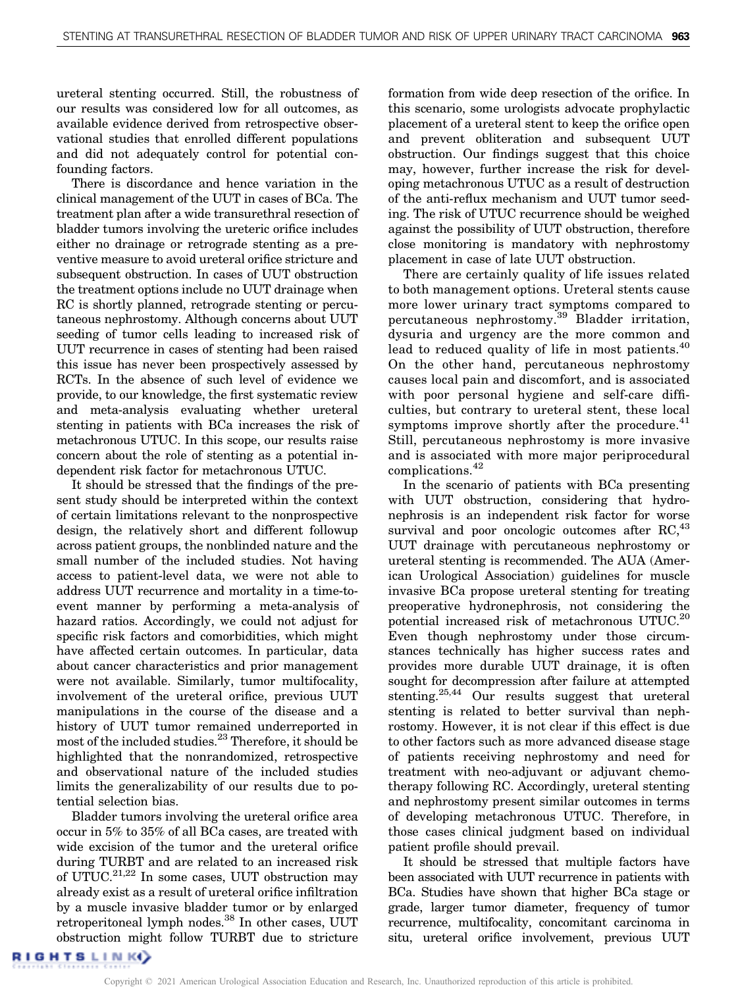ureteral stenting occurred. Still, the robustness of our results was considered low for all outcomes, as available evidence derived from retrospective observational studies that enrolled different populations and did not adequately control for potential confounding factors.

There is discordance and hence variation in the clinical management of the UUT in cases of BCa. The treatment plan after a wide transurethral resection of bladder tumors involving the ureteric orifice includes either no drainage or retrograde stenting as a preventive measure to avoid ureteral orifice stricture and subsequent obstruction. In cases of UUT obstruction the treatment options include no UUT drainage when RC is shortly planned, retrograde stenting or percutaneous nephrostomy. Although concerns about UUT seeding of tumor cells leading to increased risk of UUT recurrence in cases of stenting had been raised this issue has never been prospectively assessed by RCTs. In the absence of such level of evidence we provide, to our knowledge, the first systematic review and meta-analysis evaluating whether ureteral stenting in patients with BCa increases the risk of metachronous UTUC. In this scope, our results raise concern about the role of stenting as a potential independent risk factor for metachronous UTUC.

It should be stressed that the findings of the present study should be interpreted within the context of certain limitations relevant to the nonprospective design, the relatively short and different followup across patient groups, the nonblinded nature and the small number of the included studies. Not having access to patient-level data, we were not able to address UUT recurrence and mortality in a time-toevent manner by performing a meta-analysis of hazard ratios. Accordingly, we could not adjust for specific risk factors and comorbidities, which might have affected certain outcomes. In particular, data about cancer characteristics and prior management were not available. Similarly, tumor multifocality, involvement of the ureteral orifice, previous UUT manipulations in the course of the disease and a history of UUT tumor remained underreported in most of the included studies.<sup>23</sup> Therefore, it should be highlighted that the nonrandomized, retrospective and observational nature of the included studies limits the generalizability of our results due to potential selection bias.

Bladder tumors involving the ureteral orifice area occur in 5% to 35% of all BCa cases, are treated with wide excision of the tumor and the ureteral orifice during TURBT and are related to an increased risk of UTUC.<sup>21,22</sup> In some cases, UUT obstruction may already exist as a result of ureteral orifice infiltration by a muscle invasive bladder tumor or by enlarged retroperitoneal lymph nodes.<sup>[38](#page-9-0)</sup> In other cases, UUT obstruction might follow TURBT due to stricture

formation from wide deep resection of the orifice. In this scenario, some urologists advocate prophylactic placement of a ureteral stent to keep the orifice open and prevent obliteration and subsequent UUT obstruction. Our findings suggest that this choice may, however, further increase the risk for developing metachronous UTUC as a result of destruction of the anti-reflux mechanism and UUT tumor seeding. The risk of UTUC recurrence should be weighed against the possibility of UUT obstruction, therefore close monitoring is mandatory with nephrostomy placement in case of late UUT obstruction.

There are certainly quality of life issues related to both management options. Ureteral stents cause more lower urinary tract symptoms compared to percutaneous nephrostomy.<sup>[39](#page-9-0)</sup> Bladder irritation, dysuria and urgency are the more common and lead to reduced quality of life in most patients.<sup>[40](#page-9-0)</sup> On the other hand, percutaneous nephrostomy causes local pain and discomfort, and is associated with poor personal hygiene and self-care difficulties, but contrary to ureteral stent, these local symptoms improve shortly after the procedure. $41$ Still, percutaneous nephrostomy is more invasive and is associated with more major periprocedural complications.[42](#page-9-0)

In the scenario of patients with BCa presenting with UUT obstruction, considering that hydronephrosis is an independent risk factor for worse survival and poor oncologic outcomes after  $RC<sup>43</sup>$  $RC<sup>43</sup>$  $RC<sup>43</sup>$ UUT drainage with percutaneous nephrostomy or ureteral stenting is recommended. The AUA (American Urological Association) guidelines for muscle invasive BCa propose ureteral stenting for treating preoperative hydronephrosis, not considering the potential increased risk of metachronous UTUC.<sup>[20](#page-9-0)</sup> Even though nephrostomy under those circumstances technically has higher success rates and provides more durable UUT drainage, it is often sought for decompression after failure at attempted stenting.<sup>25,44</sup> Our results suggest that ureteral stenting is related to better survival than nephrostomy. However, it is not clear if this effect is due to other factors such as more advanced disease stage of patients receiving nephrostomy and need for treatment with neo-adjuvant or adjuvant chemotherapy following RC. Accordingly, ureteral stenting and nephrostomy present similar outcomes in terms of developing metachronous UTUC. Therefore, in those cases clinical judgment based on individual patient profile should prevail.

It should be stressed that multiple factors have been associated with UUT recurrence in patients with BCa. Studies have shown that higher BCa stage or grade, larger tumor diameter, frequency of tumor recurrence, multifocality, concomitant carcinoma in situ, ureteral orifice involvement, previous UUT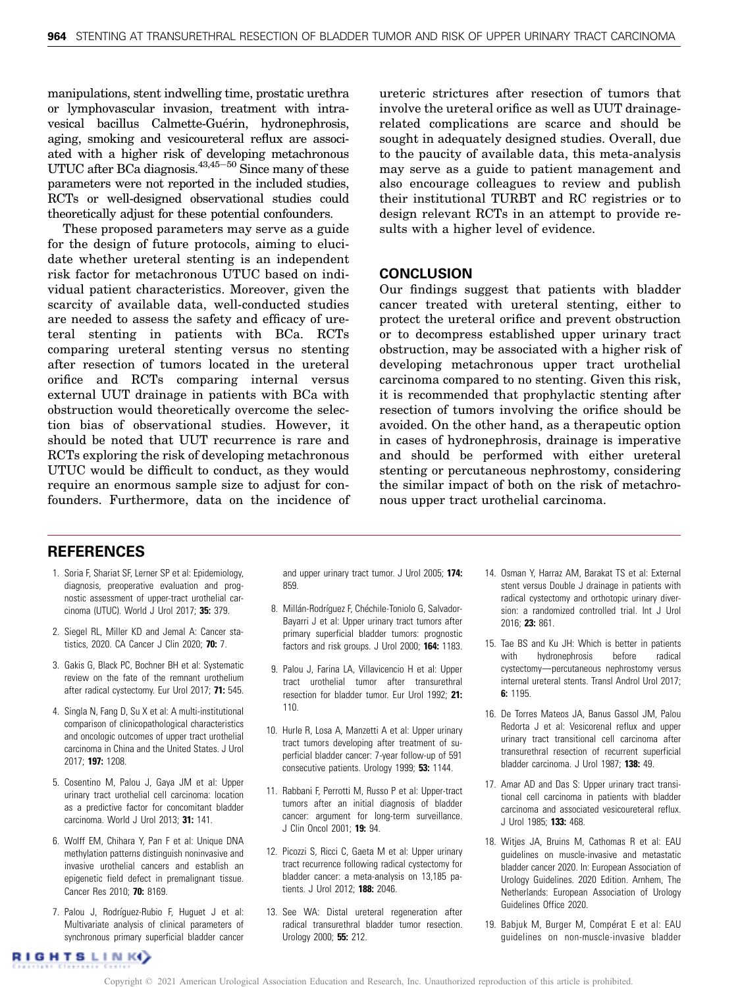<span id="page-8-0"></span>manipulations, stent indwelling time, prostatic urethra or lymphovascular invasion, treatment with intravesical bacillus Calmette-Guérin, hydronephrosis, aging, smoking and vesicoureteral reflux are associated with a higher risk of developing metachronous UTUC after BCa diagnosis. $43,45-50$  Since many of these parameters were not reported in the included studies, RCTs or well-designed observational studies could theoretically adjust for these potential confounders.

These proposed parameters may serve as a guide for the design of future protocols, aiming to elucidate whether ureteral stenting is an independent risk factor for metachronous UTUC based on individual patient characteristics. Moreover, given the scarcity of available data, well-conducted studies are needed to assess the safety and efficacy of ureteral stenting in patients with BCa. RCTs comparing ureteral stenting versus no stenting after resection of tumors located in the ureteral orifice and RCTs comparing internal versus external UUT drainage in patients with BCa with obstruction would theoretically overcome the selection bias of observational studies. However, it should be noted that UUT recurrence is rare and RCTs exploring the risk of developing metachronous UTUC would be difficult to conduct, as they would require an enormous sample size to adjust for confounders. Furthermore, data on the incidence of ureteric strictures after resection of tumors that involve the ureteral orifice as well as UUT drainagerelated complications are scarce and should be sought in adequately designed studies. Overall, due to the paucity of available data, this meta-analysis may serve as a guide to patient management and also encourage colleagues to review and publish their institutional TURBT and RC registries or to design relevant RCTs in an attempt to provide results with a higher level of evidence.

## **CONCLUSION**

Our findings suggest that patients with bladder cancer treated with ureteral stenting, either to protect the ureteral orifice and prevent obstruction or to decompress established upper urinary tract obstruction, may be associated with a higher risk of developing metachronous upper tract urothelial carcinoma compared to no stenting. Given this risk, it is recommended that prophylactic stenting after resection of tumors involving the orifice should be avoided. On the other hand, as a therapeutic option in cases of hydronephrosis, drainage is imperative and should be performed with either ureteral stenting or percutaneous nephrostomy, considering the similar impact of both on the risk of metachronous upper tract urothelial carcinoma.

## **REFERENCES**

- 1. Soria F, Shariat SF, Lerner SP et al: Epidemiology, diagnosis, preoperative evaluation and prognostic assessment of upper-tract urothelial carcinoma (UTUC). World J Urol 2017; 35: 379.
- 2. Siegel RL, Miller KD and Jemal A: Cancer statistics, 2020. CA Cancer J Clin 2020; 70: 7.
- 3. Gakis G, Black PC, Bochner BH et al: Systematic review on the fate of the remnant urothelium after radical cystectomy. Eur Urol 2017; 71: 545.
- 4. Singla N, Fang D, Su X et al: A multi-institutional comparison of clinicopathological characteristics and oncologic outcomes of upper tract urothelial carcinoma in China and the United States. J Urol 2017; 197: 1208.
- 5. Cosentino M, Palou J, Gaya JM et al: Upper urinary tract urothelial cell carcinoma: location as a predictive factor for concomitant bladder carcinoma. World J Urol 2013; 31: 141.
- 6. Wolff EM, Chihara Y, Pan F et al: Unique DNA methylation patterns distinguish noninvasive and invasive urothelial cancers and establish an epigenetic field defect in premalignant tissue. Cancer Res 2010; 70: 8169.
- 7. Palou J, Rodríguez-Rubio F, Huguet J et al: Multivariate analysis of clinical parameters of synchronous primary superficial bladder cancer

and upper urinary tract tumor. J Urol 2005; 174: 859.

- 8. Millán-Rodríguez F, Chéchile-Toniolo G, Salvador-Bayarri J et al: Upper urinary tract tumors after primary superficial bladder tumors: prognostic factors and risk groups. J Urol 2000; 164: 1183.
- 9. Palou J, Farina LA, Villavicencio H et al: Upper tract urothelial tumor after transurethral resection for bladder tumor. Eur Urol 1992; 21: 110.
- 10. Hurle R, Losa A, Manzetti A et al: Upper urinary tract tumors developing after treatment of superficial bladder cancer: 7-year follow-up of 591 consecutive patients. Urology 1999; 53: 1144.
- 11. Rabbani F, Perrotti M, Russo P et al: Upper-tract tumors after an initial diagnosis of bladder cancer: argument for long-term surveillance. J Clin Oncol 2001; 19: 94.
- 12. Picozzi S, Ricci C, Gaeta M et al: Upper urinary tract recurrence following radical cystectomy for bladder cancer: a meta-analysis on 13,185 patients. J Urol 2012; 188: 2046.
- 13. See WA: Distal ureteral regeneration after radical transurethral bladder tumor resection. Urology 2000; 55: 212.
- 14. Osman Y, Harraz AM, Barakat TS et al: External stent versus Double J drainage in patients with radical cystectomy and orthotopic urinary diversion: a randomized controlled trial. Int J Urol 2016; 23: 861.
- 15. Tae BS and Ku JH: Which is better in patients with hydronephrosis before radical cystectomy-percutaneous nephrostomy versus internal ureteral stents. Transl Androl Urol 2017; 6: 1195.
- 16. De Torres Mateos JA, Banus Gassol JM, Palou Redorta J et al: Vesicorenal reflux and upper urinary tract transitional cell carcinoma after transurethral resection of recurrent superficial bladder carcinoma. J Urol 1987; 138: 49.
- 17. Amar AD and Das S: Upper urinary tract transitional cell carcinoma in patients with bladder carcinoma and associated vesicoureteral reflux. J Urol 1985; 133: 468.
- 18. Witjes JA, Bruins M, Cathomas R et al: EAU guidelines on muscle-invasive and metastatic bladder cancer 2020. In: European Association of Urology Guidelines. 2020 Edition. Arnhem, The Netherlands: European Association of Urology Guidelines Office 2020.
- 19. Babjuk M, Burger M, Compérat E et al: EAU guidelines on non-muscle-invasive bladder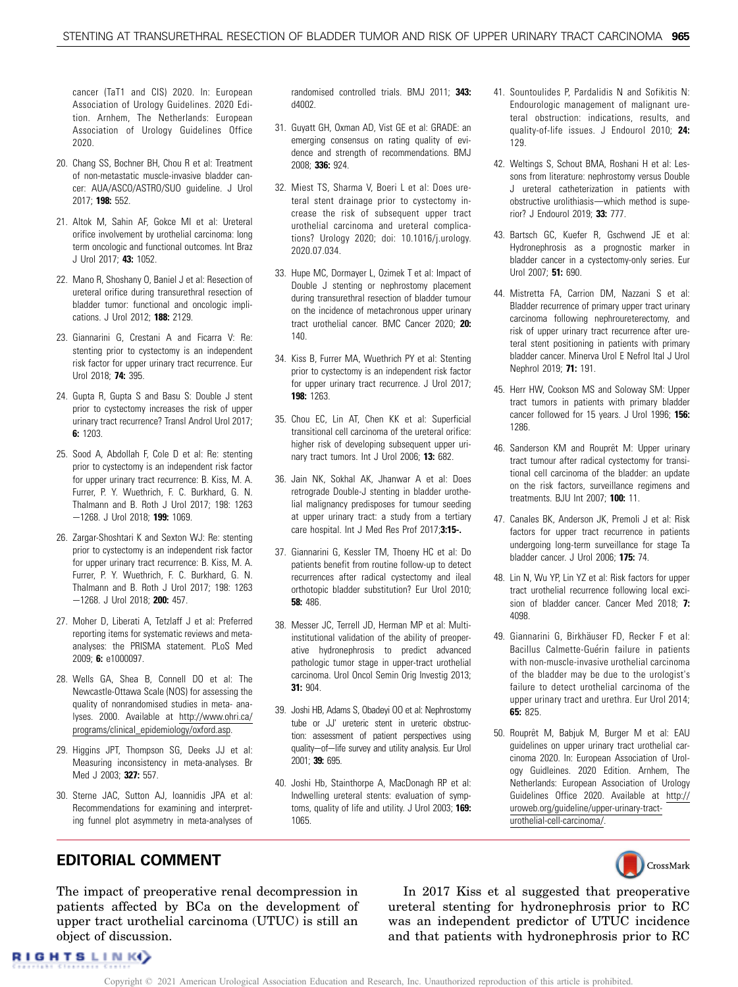<span id="page-9-0"></span>cancer (TaT1 and CIS) 2020. In: European Association of Urology Guidelines. 2020 Edition. Arnhem, The Netherlands: European Association of Urology Guidelines Office 2020.

- 20. Chang SS, Bochner BH, Chou R et al: Treatment of non-metastatic muscle-invasive bladder cancer: AUA/ASCO/ASTRO/SUO guideline. J Urol 2017; 198: 552.
- 21. Altok M, Sahin AF, Gokce MI et al: Ureteral orifice involvement by urothelial carcinoma: long term oncologic and functional outcomes. Int Braz J Urol 2017; 43: 1052.
- 22. Mano R, Shoshany O, Baniel J et al: Resection of ureteral orifice during transurethral resection of bladder tumor: functional and oncologic implications. J Urol 2012; 188: 2129.
- 23. Giannarini G, Crestani A and Ficarra V: Re: stenting prior to cystectomy is an independent risk factor for upper urinary tract recurrence. Eur Urol 2018; 74: 395.
- 24. Gupta R, Gupta S and Basu S: Double J stent prior to cystectomy increases the risk of upper urinary tract recurrence? Transl Androl Urol 2017; 6: 1203.
- 25. Sood A, Abdollah F, Cole D et al: Re: stenting prior to cystectomy is an independent risk factor for upper urinary tract recurrence: B. Kiss, M. A. Furrer, P. Y. Wuethrich, F. C. Burkhard, G. N. Thalmann and B. Roth J Urol 2017; 198: 1263 -1268. J Urol 2018; 199: 1069.
- 26. Zargar-Shoshtari K and Sexton WJ: Re: stenting prior to cystectomy is an independent risk factor for upper urinary tract recurrence: B. Kiss, M. A. Furrer, P. Y. Wuethrich, F. C. Burkhard, G. N. Thalmann and B. Roth J Urol 2017; 198: 1263 -1268. J Urol 2018; 200: 457.
- 27. Moher D, Liberati A, Tetzlaff J et al: Preferred reporting items for systematic reviews and metaanalyses: the PRISMA statement. PLoS Med 2009; 6: e1000097.
- 28. Wells GA, Shea B, Connell DO et al: The Newcastle-Ottawa Scale (NOS) for assessing the quality of nonrandomised studies in meta- analyses. 2000. Available at [http://www.ohri.ca/](http://www.ohri.ca/programs/clinical_epidemiology/oxford.asp) [programs/clinical\\_epidemiology/oxford.asp.](http://www.ohri.ca/programs/clinical_epidemiology/oxford.asp)
- 29. Higgins JPT, Thompson SG, Deeks JJ et al: Measuring inconsistency in meta-analyses. Br Med J 2003; 327: 557.
- 30. Sterne JAC, Sutton AJ, Ioannidis JPA et al: Recommendations for examining and interpreting funnel plot asymmetry in meta-analyses of

randomised controlled trials. BMJ 2011; 343: d4002.

- 31. Guyatt GH, Oxman AD, Vist GE et al: GRADE: an emerging consensus on rating quality of evidence and strength of recommendations. BMJ 2008; 336: 924.
- 32. Miest TS, Sharma V, Boeri L et al: Does ureteral stent drainage prior to cystectomy increase the risk of subsequent upper tract urothelial carcinoma and ureteral complications? Urology 2020; doi: [10.1016/j.urology.](http://dx.doi.org/10.1016/j.urology.2020.07.034) [2020.07.034.](http://dx.doi.org/10.1016/j.urology.2020.07.034)
- 33. Hupe MC, Dormayer L, Ozimek T et al: Impact of Double J stenting or nephrostomy placement during transurethral resection of bladder tumour on the incidence of metachronous upper urinary tract urothelial cancer. BMC Cancer 2020; 20: 140.
- 34. Kiss B, Furrer MA, Wuethrich PY et al: Stenting prior to cystectomy is an independent risk factor for upper urinary tract recurrence. J Urol 2017; 198: 1263.
- 35. Chou EC, Lin AT, Chen KK et al: Superficial transitional cell carcinoma of the ureteral orifice: higher risk of developing subsequent upper urinary tract tumors. Int J Urol 2006; 13: 682.
- 36. Jain NK, Sokhal AK, Jhanwar A et al: Does retrograde Double-J stenting in bladder urothelial malignancy predisposes for tumour seeding at upper urinary tract: a study from a tertiary care hospital. Int J Med Res Prof 2017;3:15-.
- 37. Giannarini G, Kessler TM, Thoeny HC et al: Do patients benefit from routine follow-up to detect recurrences after radical cystectomy and ileal orthotopic bladder substitution? Eur Urol 2010; 58: 486.
- 38. Messer JC, Terrell JD, Herman MP et al: Multiinstitutional validation of the ability of preoperative hydronephrosis to predict advanced pathologic tumor stage in upper-tract urothelial carcinoma. Urol Oncol Semin Orig Investig 2013; 31: 904.
- 39. Joshi HB, Adams S, Obadeyi OO et al: Nephrostomy tube or JJ' ureteric stent in ureteric obstruction: assessment of patient perspectives using quality-of-life survey and utility analysis. Eur Urol 2001; 39: 695.
- 40. Joshi Hb, Stainthorpe A, MacDonagh RP et al: Indwelling ureteral stents: evaluation of symptoms, quality of life and utility. J Urol 2003; 169: 1065.
- 41. Sountoulides P, Pardalidis N and Sofikitis N: Endourologic management of malignant ureteral obstruction: indications, results, and quality-of-life issues. J Endourol 2010; 24: 129.
- 42. Weltings S, Schout BMA, Roshani H et al: Lessons from literature: nephrostomy versus Double J ureteral catheterization in patients with obstructive urolithiasis-which method is superior? J Endourol 2019; 33: 777.
- 43. Bartsch GC, Kuefer R, Gschwend JE et al: Hydronephrosis as a prognostic marker in bladder cancer in a cystectomy-only series. Eur Urol 2007; 51: 690.
- 44. Mistretta FA, Carrion DM, Nazzani S et al: Bladder recurrence of primary upper tract urinary carcinoma following nephroureterectomy, and risk of upper urinary tract recurrence after ureteral stent positioning in patients with primary bladder cancer. Minerva Urol E Nefrol Ital J Urol Nephrol 2019; 71: 191.
- 45. Herr HW, Cookson MS and Soloway SM: Upper tract tumors in patients with primary bladder cancer followed for 15 years. J Urol 1996; 156: 1286.
- 46. Sanderson KM and Rouprêt M: Upper urinary tract tumour after radical cystectomy for transitional cell carcinoma of the bladder: an update on the risk factors, surveillance regimens and treatments. BJU Int 2007; 100: 11.
- 47. Canales BK, Anderson JK, Premoli J et al: Risk factors for upper tract recurrence in patients undergoing long-term surveillance for stage Ta bladder cancer. J Urol 2006; 175: 74.
- 48. Lin N, Wu YP, Lin YZ et al: Risk factors for upper tract urothelial recurrence following local excision of bladder cancer. Cancer Med 2018; 7: 4098.
- 49. Giannarini G, Birkhäuser FD, Recker F et al: Bacillus Calmette-Guérin failure in patients with non-muscle-invasive urothelial carcinoma of the bladder may be due to the urologist's failure to detect urothelial carcinoma of the upper urinary tract and urethra. Eur Urol 2014; 65: 825.
- 50. Rouprêt M, Babjuk M, Burger M et al: EAU guidelines on upper urinary tract urothelial carcinoma 2020. In: European Association of Urology Guidleines. 2020 Edition. Arnhem, The Netherlands: European Association of Urology Guidelines Office 2020. Available at [http://](http://uroweb.org/guideline/upper-urinary-tract-urothelial-cell-carcinoma/) [uroweb.org/guideline/upper-urinary-tract](http://uroweb.org/guideline/upper-urinary-tract-urothelial-cell-carcinoma/)[urothelial-cell-carcinoma/.](http://uroweb.org/guideline/upper-urinary-tract-urothelial-cell-carcinoma/)



## EDITORIAL COMMENT

The impact of preoperative renal decompression in patients affected by BCa on the development of upper tract urothelial carcinoma (UTUC) is still an object of discussion.

In 2017 Kiss et al suggested that preoperative ureteral stenting for hydronephrosis prior to RC was an independent predictor of UTUC incidence and that patients with hydronephrosis prior to RC